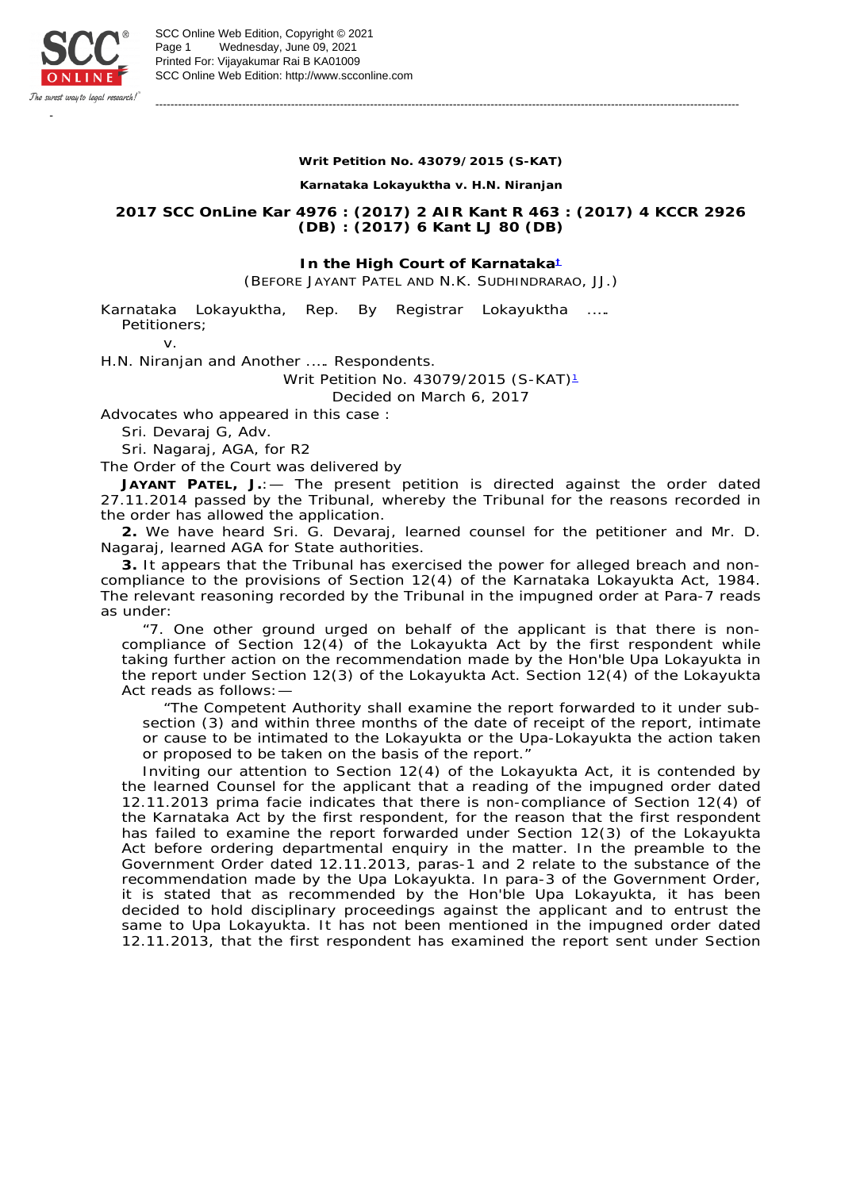

-

**Writ Petition No. 43079/2015 (S-KAT)**

-----------------------------------------------------------------------------------------------------------------------------------------------------------

**Karnataka Lokayuktha v. H.N. Niranjan**

**2017 SCC OnLine Kar 4976 : (2017) 2 AIR Kant R 463 : (2017) 4 KCCR 2926 (DB) : (2017) 6 Kant LJ 80 (DB)**

> **In the High Court of Karnataka †** (BEFORE JAYANT PATEL AND N.K. SUDHINDRARAO, JJ.)

Karnataka Lokayuktha, Rep. By Registrar Lokayuktha .…. Petitioners;

*v.*

H.N. Niranjan and Another .…. Respondents.

Writ Petition No. 43079/2015 (S-KAT)<sup>1</sup>

Decided on March 6, 2017

Advocates who appeared in this case :

Sri. Devaraj G, Adv.

Sri. Nagaraj, AGA, for R2

The Order of the Court was delivered by

**JAYANT PATEL, J.**:— The present petition is directed against the order dated 27.11.2014 passed by the Tribunal, whereby the Tribunal for the reasons recorded in the order has allowed the application.

**2.** We have heard Sri. G. Devaraj, learned counsel for the petitioner and Mr. D. Nagaraj, learned AGA for State authorities.

**3.** It appears that the Tribunal has exercised the power for alleged breach and noncompliance to the provisions of Section 12(4) of the Karnataka Lokayukta Act, 1984. The relevant reasoning recorded by the Tribunal in the impugned order at Para-7 reads as under:

"7. One other ground urged on behalf of the applicant is that there is noncompliance of Section  $12(4)$  of the Lokayukta Act by the first respondent while taking further action on the recommendation made by the Hon'ble Upa Lokayukta in the report under Section 12(3) of the Lokayukta Act. Section 12(4) of the Lokayukta Act reads as follows:—

"The Competent Authority shall examine the report forwarded to it under subsection (3) and within three months of the date of receipt of the report, intimate or cause to be intimated to the Lokayukta or the Upa-Lokayukta the action taken or proposed to be taken on the basis of the report."

Inviting our attention to Section 12(4) of the Lokayukta Act, it is contended by the learned Counsel for the applicant that a reading of the impugned order dated 12.11.2013 prima facie indicates that there is non-compliance of Section 12(4) of the Karnataka Act by the first respondent, for the reason that the first respondent has failed to examine the report forwarded under Section 12(3) of the Lokayukta Act before ordering departmental enquiry in the matter. In the preamble to the Government Order dated 12.11.2013, paras-1 and 2 relate to the substance of the recommendation made by the Upa Lokayukta. In para-3 of the Government Order, it is stated that as recommended by the Hon'ble Upa Lokayukta, it has been decided to hold disciplinary proceedings against the applicant and to entrust the same to Upa Lokayukta. It has not been mentioned in the impugned order dated 12.11.2013, that the first respondent has examined the report sent under Section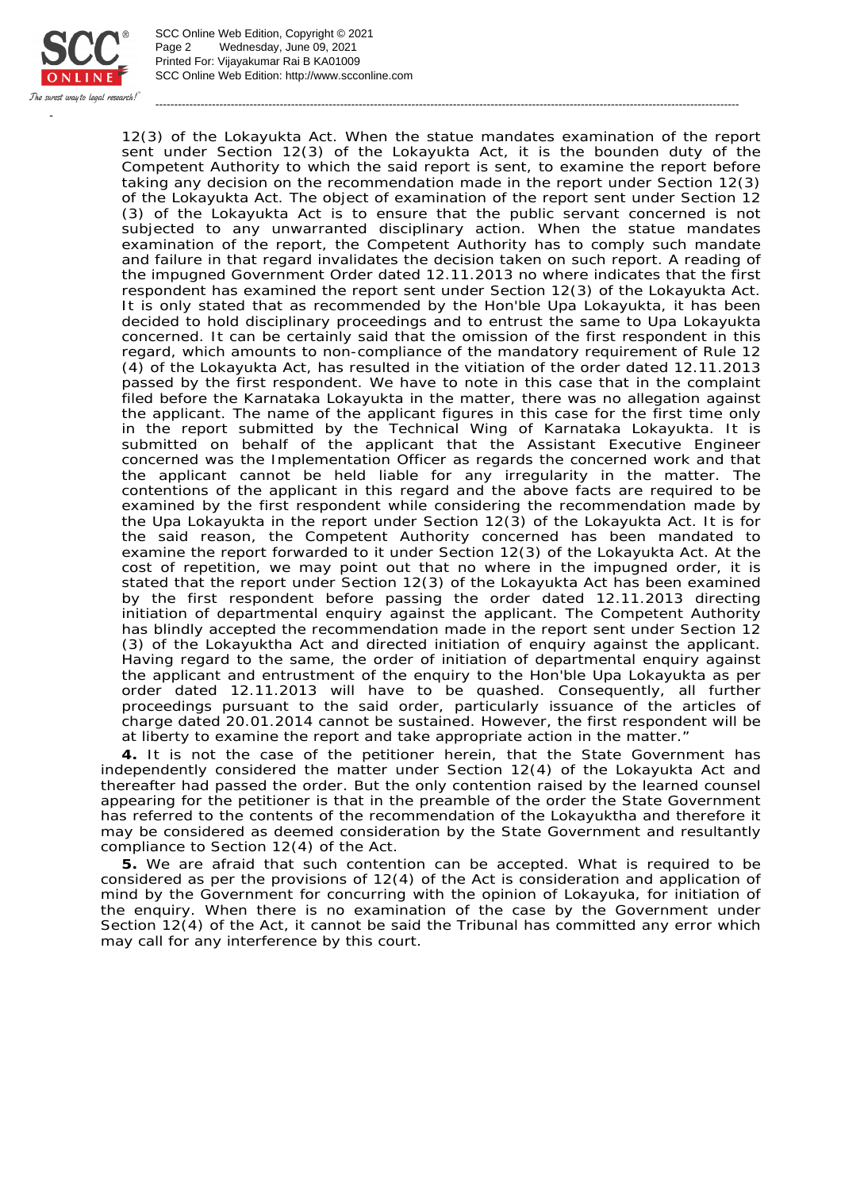

-

SCC Online Web Edition: http://www.scconline.com Printed For: Vijayakumar Rai B KA01009 Page 2 Wednesday, June 09, 2021 SCC Online Web Edition, Copyright © 2021

12(3) of the Lokayukta Act. When the statue mandates examination of the report sent under Section 12(3) of the Lokayukta Act, it is the bounden duty of the Competent Authority to which the said report is sent, to examine the report before taking any decision on the recommendation made in the report under Section 12(3) of the Lokayukta Act. The object of examination of the report sent under Section 12 (3) of the Lokayukta Act is to ensure that the public servant concerned is not subjected to any unwarranted disciplinary action. When the statue mandates examination of the report, the Competent Authority has to comply such mandate and failure in that regard invalidates the decision taken on such report. A reading of the impugned Government Order dated 12.11.2013 no where indicates that the first respondent has examined the report sent under Section 12(3) of the Lokayukta Act. It is only stated that as recommended by the Hon'ble Upa Lokayukta, it has been decided to hold disciplinary proceedings and to entrust the same to Upa Lokayukta concerned. It can be certainly said that the omission of the first respondent in this regard, which amounts to non-compliance of the mandatory requirement of Rule 12 (4) of the Lokayukta Act, has resulted in the vitiation of the order dated 12.11.2013 passed by the first respondent. We have to note in this case that in the complaint filed before the Karnataka Lokayukta in the matter, there was no allegation against the applicant. The name of the applicant figures in this case for the first time only in the report submitted by the Technical Wing of Karnataka Lokayukta. It is submitted on behalf of the applicant that the Assistant Executive Engineer concerned was the Implementation Officer as regards the concerned work and that the applicant cannot be held liable for any irregularity in the matter. The contentions of the applicant in this regard and the above facts are required to be examined by the first respondent while considering the recommendation made by the Upa Lokayukta in the report under Section 12(3) of the Lokayukta Act. It is for the said reason, the Competent Authority concerned has been mandated to examine the report forwarded to it under Section 12(3) of the Lokayukta Act. At the cost of repetition, we may point out that no where in the impugned order, it is stated that the report under Section 12(3) of the Lokayukta Act has been examined by the first respondent before passing the order dated 12.11.2013 directing initiation of departmental enquiry against the applicant. The Competent Authority has blindly accepted the recommendation made in the report sent under Section 12 (3) of the Lokayuktha Act and directed initiation of enquiry against the applicant. Having regard to the same, the order of initiation of departmental enquiry against the applicant and entrustment of the enquiry to the Hon'ble Upa Lokayukta as per order dated 12.11.2013 will have to be quashed. Consequently, all further proceedings pursuant to the said order, particularly issuance of the articles of charge dated 20.01.2014 cannot be sustained. However, the first respondent will be at liberty to examine the report and take appropriate action in the matter."

-----------------------------------------------------------------------------------------------------------------------------------------------------------

**4.** It is not the case of the petitioner herein, that the State Government has independently considered the matter under Section 12(4) of the Lokayukta Act and thereafter had passed the order. But the only contention raised by the learned counsel appearing for the petitioner is that in the preamble of the order the State Government has referred to the contents of the recommendation of the Lokayuktha and therefore it may be considered as deemed consideration by the State Government and resultantly compliance to Section 12(4) of the Act.

**5.** We are afraid that such contention can be accepted. What is required to be considered as per the provisions of 12(4) of the Act is consideration and application of mind by the Government for concurring with the opinion of Lokayuka, for initiation of the enquiry. When there is no examination of the case by the Government under Section 12(4) of the Act, it cannot be said the Tribunal has committed any error which may call for any interference by this court.